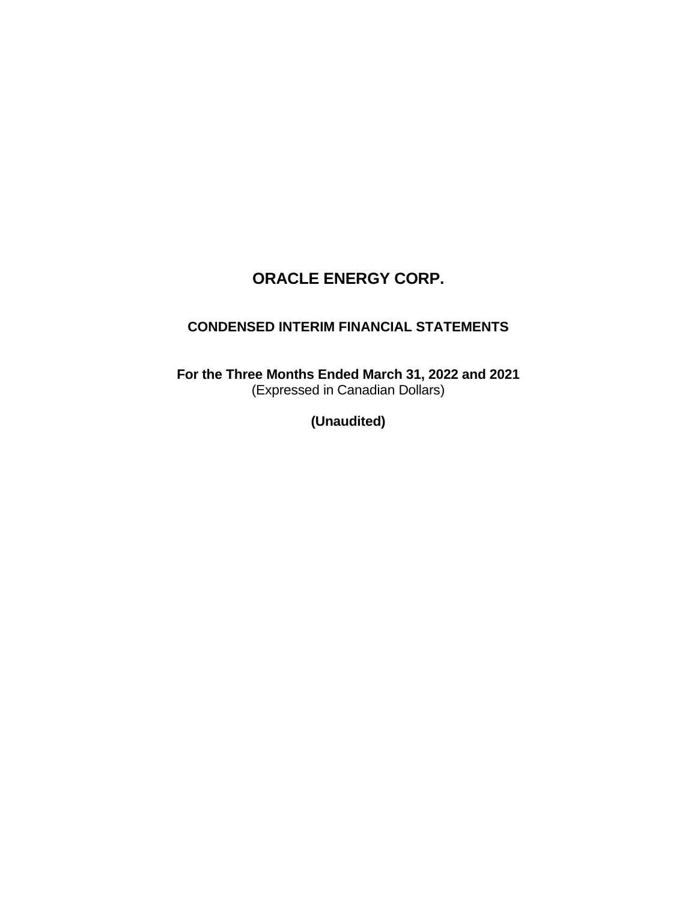# **CONDENSED INTERIM FINANCIAL STATEMENTS**

**For the Three Months Ended March 31, 2022 and 2021** (Expressed in Canadian Dollars)

**(Unaudited)**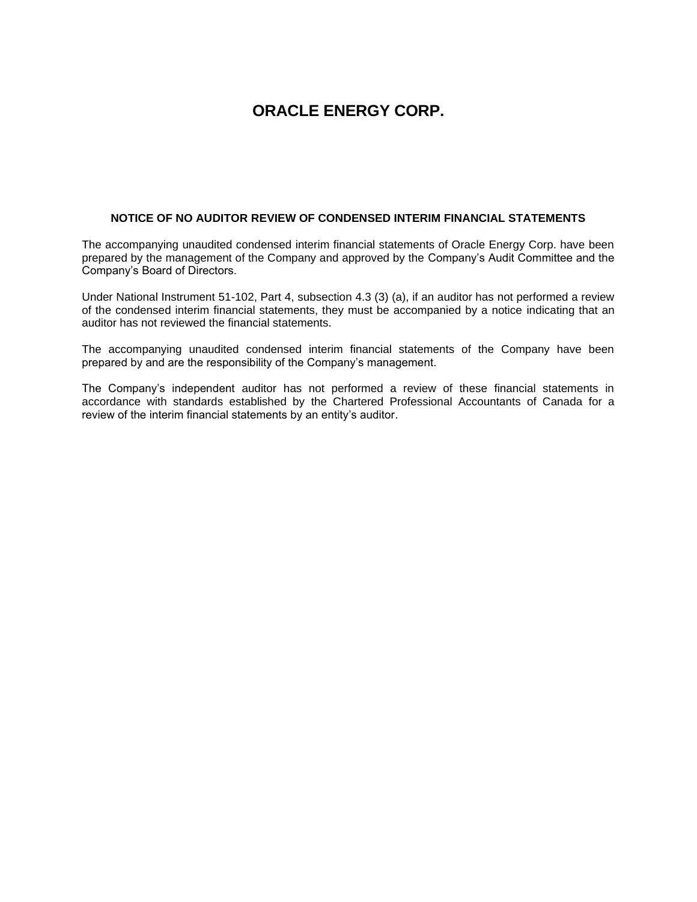#### **NOTICE OF NO AUDITOR REVIEW OF CONDENSED INTERIM FINANCIAL STATEMENTS**

The accompanying unaudited condensed interim financial statements of Oracle Energy Corp. have been prepared by the management of the Company and approved by the Company's Audit Committee and the Company's Board of Directors.

Under National Instrument 51-102, Part 4, subsection 4.3 (3) (a), if an auditor has not performed a review of the condensed interim financial statements, they must be accompanied by a notice indicating that an auditor has not reviewed the financial statements.

The accompanying unaudited condensed interim financial statements of the Company have been prepared by and are the responsibility of the Company's management.

The Company's independent auditor has not performed a review of these financial statements in accordance with standards established by the Chartered Professional Accountants of Canada for a review of the interim financial statements by an entity's auditor.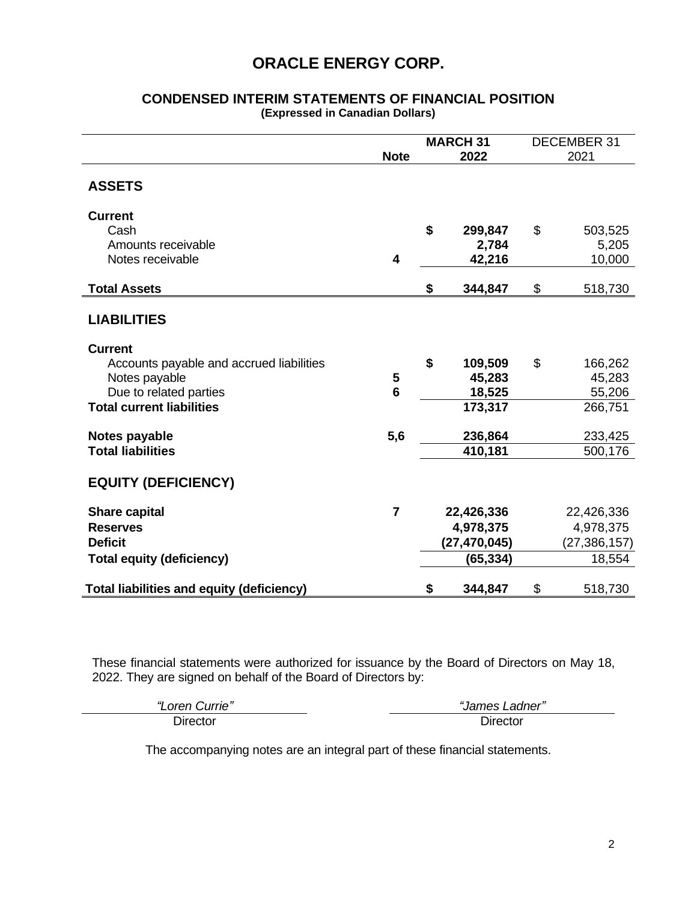#### **CONDENSED INTERIM STATEMENTS OF FINANCIAL POSITION (Expressed in Canadian Dollars)**

|                                                  | <b>Note</b>     | <b>MARCH 31</b><br>2022 | <b>DECEMBER 31</b><br>2021 |                 |
|--------------------------------------------------|-----------------|-------------------------|----------------------------|-----------------|
| <b>ASSETS</b>                                    |                 |                         |                            |                 |
| <b>Current</b>                                   |                 |                         |                            |                 |
| Cash<br>Amounts receivable                       |                 | \$<br>299,847           | \$                         | 503,525         |
| Notes receivable                                 | 4               | 2,784<br>42,216         |                            | 5,205<br>10,000 |
|                                                  |                 |                         |                            |                 |
| <b>Total Assets</b>                              |                 | \$<br>344,847           | \$                         | 518,730         |
| <b>LIABILITIES</b>                               |                 |                         |                            |                 |
| <b>Current</b>                                   |                 |                         |                            |                 |
| Accounts payable and accrued liabilities         |                 | \$<br>109,509           | \$                         | 166,262         |
| Notes payable                                    | 5               | 45,283                  |                            | 45,283          |
| Due to related parties                           | $6\phantom{1}6$ | 18,525                  |                            | 55,206          |
| <b>Total current liabilities</b>                 |                 | 173,317                 |                            | 266,751         |
| Notes payable                                    | 5,6             | 236,864                 |                            | 233,425         |
| <b>Total liabilities</b>                         |                 | 410,181                 |                            | 500,176         |
| <b>EQUITY (DEFICIENCY)</b>                       |                 |                         |                            |                 |
| <b>Share capital</b>                             | $\overline{7}$  | 22,426,336              |                            | 22,426,336      |
| <b>Reserves</b>                                  |                 | 4,978,375               |                            | 4,978,375       |
| <b>Deficit</b>                                   |                 | (27,470,045)            |                            | (27, 386, 157)  |
| <b>Total equity (deficiency)</b>                 |                 | (65, 334)               |                            | 18,554          |
| <b>Total liabilities and equity (deficiency)</b> |                 | \$<br>344,847           | \$                         | 518,730         |

These financial statements were authorized for issuance by the Board of Directors on May 18, 2022. They are signed on behalf of the Board of Directors by:

| "<br><i>Surrie"</i><br>_oren | "James ∟<br>Ladner" |
|------------------------------|---------------------|
| Director                     | Director            |

The accompanying notes are an integral part of these financial statements.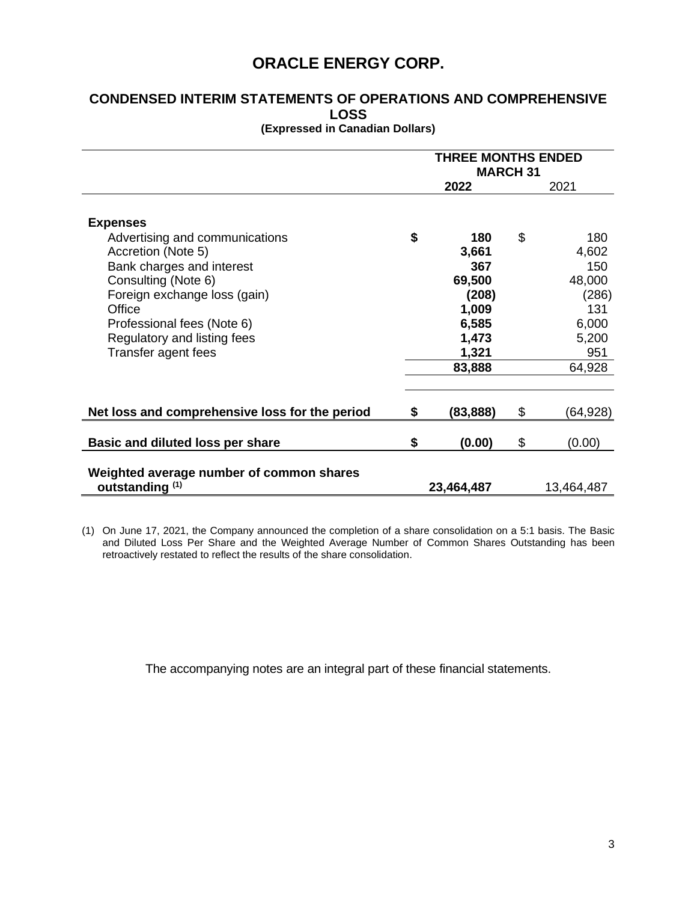# **CONDENSED INTERIM STATEMENTS OF OPERATIONS AND COMPREHENSIVE LOSS**

| (Expressed in Canadian Dollars) |  |  |  |
|---------------------------------|--|--|--|
|---------------------------------|--|--|--|

|                                                                                                                                                                                                                                                           | <b>THREE MONTHS ENDED</b><br><b>MARCH 31</b> |                                                                                      |    |                                                                                  |
|-----------------------------------------------------------------------------------------------------------------------------------------------------------------------------------------------------------------------------------------------------------|----------------------------------------------|--------------------------------------------------------------------------------------|----|----------------------------------------------------------------------------------|
|                                                                                                                                                                                                                                                           | 2022                                         |                                                                                      |    | 2021                                                                             |
| <b>Expenses</b><br>Advertising and communications<br>Accretion (Note 5)<br>Bank charges and interest<br>Consulting (Note 6)<br>Foreign exchange loss (gain)<br>Office<br>Professional fees (Note 6)<br>Regulatory and listing fees<br>Transfer agent fees | \$                                           | 180<br>3,661<br>367<br>69,500<br>(208)<br>1,009<br>6,585<br>1,473<br>1,321<br>83,888 | \$ | 180<br>4,602<br>150<br>48,000<br>(286)<br>131<br>6,000<br>5,200<br>951<br>64,928 |
| Net loss and comprehensive loss for the period                                                                                                                                                                                                            | \$                                           | (83,888)                                                                             | \$ | (64,928)                                                                         |
| Basic and diluted loss per share                                                                                                                                                                                                                          | \$                                           | (0.00)                                                                               | \$ | (0.00)                                                                           |
| Weighted average number of common shares<br>outstanding <sup>(1)</sup>                                                                                                                                                                                    |                                              | 23,464,487                                                                           |    | 13,464,487                                                                       |

(1) On June 17, 2021, the Company announced the completion of a share consolidation on a 5:1 basis. The Basic and Diluted Loss Per Share and the Weighted Average Number of Common Shares Outstanding has been retroactively restated to reflect the results of the share consolidation.

The accompanying notes are an integral part of these financial statements.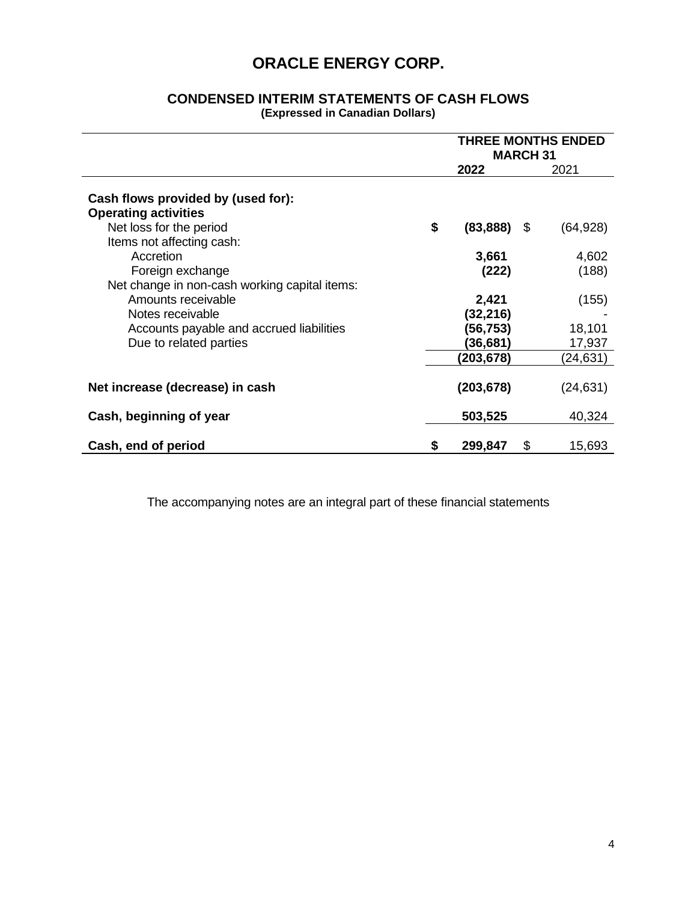### **CONDENSED INTERIM STATEMENTS OF CASH FLOWS (Expressed in Canadian Dollars)**

|                                                                   | <b>THREE MONTHS ENDED</b><br><b>MARCH 31</b> |            |                   |  |
|-------------------------------------------------------------------|----------------------------------------------|------------|-------------------|--|
|                                                                   |                                              | 2022       | 2021              |  |
| Cash flows provided by (used for):<br><b>Operating activities</b> |                                              |            |                   |  |
| Net loss for the period                                           | \$                                           | (83, 888)  | - \$<br>(64, 928) |  |
| Items not affecting cash:                                         |                                              |            |                   |  |
| Accretion                                                         |                                              | 3,661      | 4,602             |  |
| Foreign exchange                                                  |                                              | (222)      | (188)             |  |
| Net change in non-cash working capital items:                     |                                              |            |                   |  |
| Amounts receivable                                                |                                              | 2,421      | (155)             |  |
| Notes receivable                                                  |                                              | (32, 216)  |                   |  |
| Accounts payable and accrued liabilities                          |                                              | (56,753)   | 18,101            |  |
| Due to related parties                                            |                                              | (36, 681)  | 17,937            |  |
|                                                                   |                                              | (203,678)  | (24,631)          |  |
| Net increase (decrease) in cash                                   |                                              | (203, 678) | (24, 631)         |  |
| Cash, beginning of year                                           |                                              | 503,525    | 40,324            |  |
| Cash, end of period                                               | \$                                           | 299,847    | \$<br>15,693      |  |

The accompanying notes are an integral part of these financial statements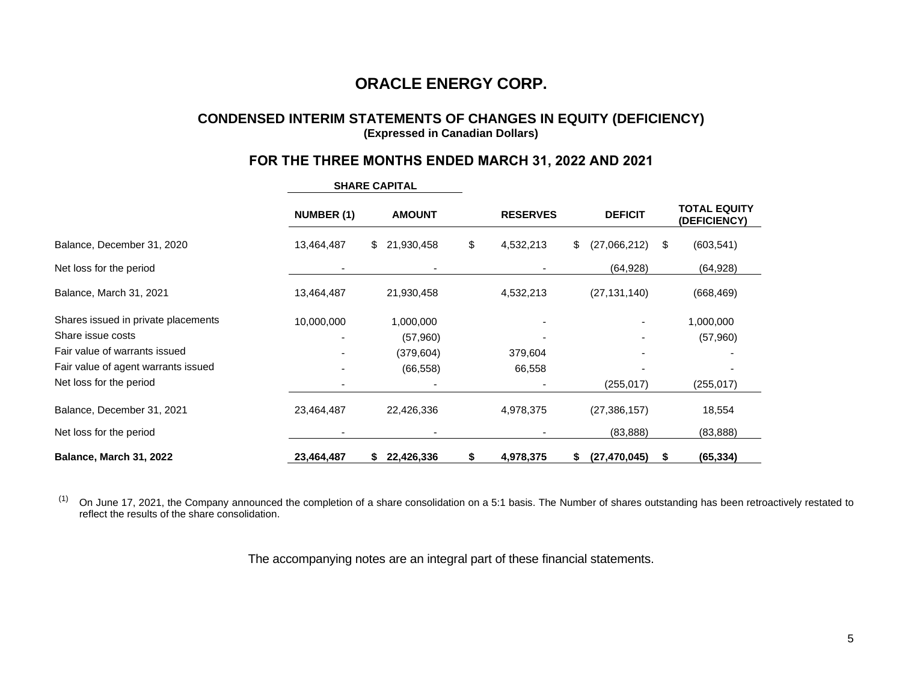## **CONDENSED INTERIM STATEMENTS OF CHANGES IN EQUITY (DEFICIENCY) (Expressed in Canadian Dollars)**

## **FOR THE THREE MONTHS ENDED MARCH 31, 2022 AND 2021**

|                                     | <b>NUMBER (1)</b> | <b>AMOUNT</b>    | <b>RESERVES</b> | <b>DEFICIT</b>           | <b>TOTAL EQUITY</b><br>(DEFICIENCY) |
|-------------------------------------|-------------------|------------------|-----------------|--------------------------|-------------------------------------|
| Balance, December 31, 2020          | 13,464,487        | \$<br>21,930,458 | \$<br>4,532,213 | \$<br>(27,066,212)<br>\$ | (603, 541)                          |
| Net loss for the period             |                   |                  |                 | (64, 928)                | (64, 928)                           |
| Balance, March 31, 2021             | 13,464,487        | 21,930,458       | 4,532,213       | (27, 131, 140)           | (668, 469)                          |
| Shares issued in private placements | 10,000,000        | 1,000,000        |                 |                          | 1,000,000                           |
| Share issue costs                   |                   | (57,960)         |                 |                          | (57,960)                            |
| Fair value of warrants issued       |                   | (379, 604)       | 379,604         |                          |                                     |
| Fair value of agent warrants issued |                   | (66, 558)        | 66,558          |                          |                                     |
| Net loss for the period             |                   |                  |                 | (255, 017)               | (255, 017)                          |
| Balance, December 31, 2021          | 23,464,487        | 22,426,336       | 4,978,375       | (27, 386, 157)           | 18,554                              |
| Net loss for the period             |                   |                  |                 | (83, 888)                | (83, 888)                           |
| Balance, March 31, 2022             | 23,464,487        | 22,426,336<br>S. | 4,978,375       | (27, 470, 045)<br>S      | (65, 334)                           |

**SHARE CAPITAL**

 $(1)$  On June 17, 2021, the Company announced the completion of a share consolidation on a 5:1 basis. The Number of shares outstanding has been retroactively restated to reflect the results of the share consolidation.

The accompanying notes are an integral part of these financial statements.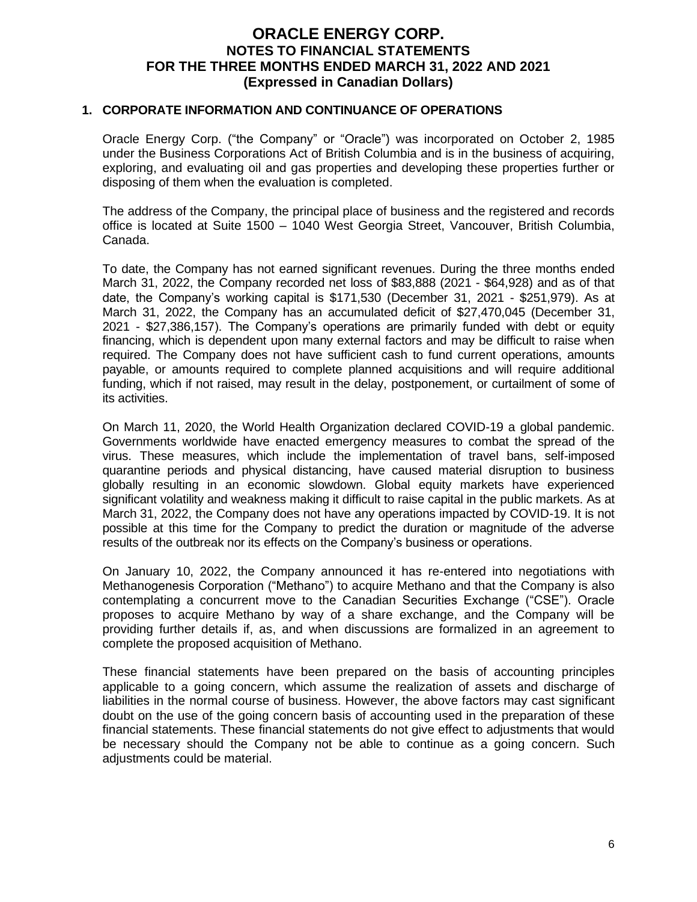#### **1. CORPORATE INFORMATION AND CONTINUANCE OF OPERATIONS**

Oracle Energy Corp. ("the Company" or "Oracle") was incorporated on October 2, 1985 under the Business Corporations Act of British Columbia and is in the business of acquiring, exploring, and evaluating oil and gas properties and developing these properties further or disposing of them when the evaluation is completed.

The address of the Company, the principal place of business and the registered and records office is located at Suite 1500 – 1040 West Georgia Street, Vancouver, British Columbia, Canada.

To date, the Company has not earned significant revenues. During the three months ended March 31, 2022, the Company recorded net loss of \$83,888 (2021 - \$64,928) and as of that date, the Company's working capital is \$171,530 (December 31, 2021 - \$251,979). As at March 31, 2022, the Company has an accumulated deficit of \$27,470,045 (December 31, 2021 - \$27,386,157). The Company's operations are primarily funded with debt or equity financing, which is dependent upon many external factors and may be difficult to raise when required. The Company does not have sufficient cash to fund current operations, amounts payable, or amounts required to complete planned acquisitions and will require additional funding, which if not raised, may result in the delay, postponement, or curtailment of some of its activities.

On March 11, 2020, the World Health Organization declared COVID-19 a global pandemic. Governments worldwide have enacted emergency measures to combat the spread of the virus. These measures, which include the implementation of travel bans, self-imposed quarantine periods and physical distancing, have caused material disruption to business globally resulting in an economic slowdown. Global equity markets have experienced significant volatility and weakness making it difficult to raise capital in the public markets. As at March 31, 2022, the Company does not have any operations impacted by COVID-19. It is not possible at this time for the Company to predict the duration or magnitude of the adverse results of the outbreak nor its effects on the Company's business or operations.

On January 10, 2022, the Company announced it has re-entered into negotiations with Methanogenesis Corporation ("Methano") to acquire Methano and that the Company is also contemplating a concurrent move to the Canadian Securities Exchange ("CSE"). Oracle proposes to acquire Methano by way of a share exchange, and the Company will be providing further details if, as, and when discussions are formalized in an agreement to complete the proposed acquisition of Methano.

These financial statements have been prepared on the basis of accounting principles applicable to a going concern, which assume the realization of assets and discharge of liabilities in the normal course of business. However, the above factors may cast significant doubt on the use of the going concern basis of accounting used in the preparation of these financial statements. These financial statements do not give effect to adjustments that would be necessary should the Company not be able to continue as a going concern. Such adjustments could be material.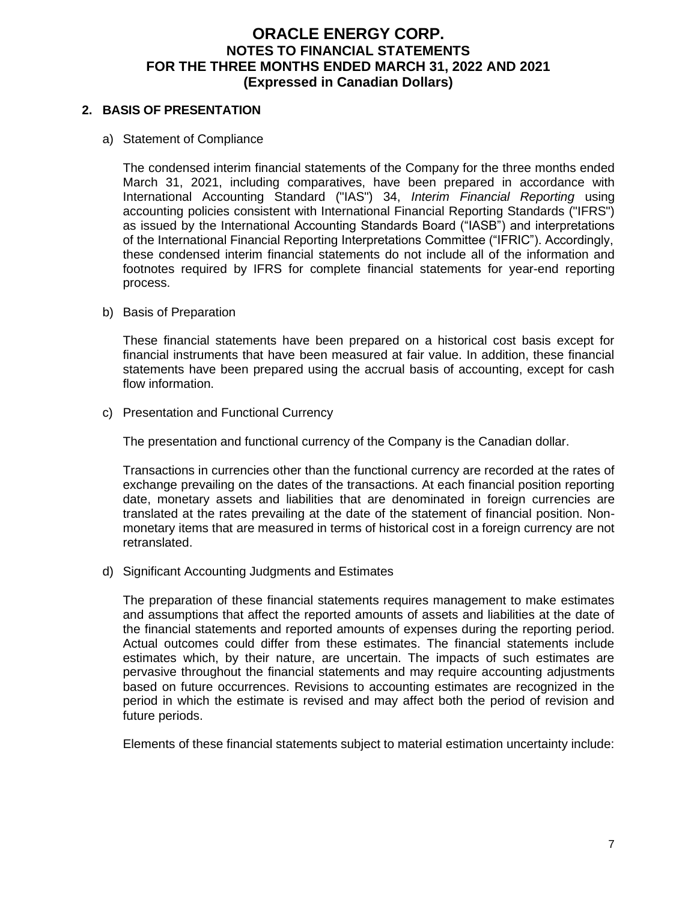### **2. BASIS OF PRESENTATION**

a) Statement of Compliance

The condensed interim financial statements of the Company for the three months ended March 31, 2021, including comparatives, have been prepared in accordance with International Accounting Standard ("IAS") 34, *Interim Financial Reporting* using accounting policies consistent with International Financial Reporting Standards ("IFRS") as issued by the International Accounting Standards Board ("IASB") and interpretations of the International Financial Reporting Interpretations Committee ("IFRIC"). Accordingly, these condensed interim financial statements do not include all of the information and footnotes required by IFRS for complete financial statements for year-end reporting process.

b) Basis of Preparation

These financial statements have been prepared on a historical cost basis except for financial instruments that have been measured at fair value. In addition, these financial statements have been prepared using the accrual basis of accounting, except for cash flow information.

c) Presentation and Functional Currency

The presentation and functional currency of the Company is the Canadian dollar.

Transactions in currencies other than the functional currency are recorded at the rates of exchange prevailing on the dates of the transactions. At each financial position reporting date, monetary assets and liabilities that are denominated in foreign currencies are translated at the rates prevailing at the date of the statement of financial position. Nonmonetary items that are measured in terms of historical cost in a foreign currency are not retranslated.

d) Significant Accounting Judgments and Estimates

The preparation of these financial statements requires management to make estimates and assumptions that affect the reported amounts of assets and liabilities at the date of the financial statements and reported amounts of expenses during the reporting period. Actual outcomes could differ from these estimates. The financial statements include estimates which, by their nature, are uncertain. The impacts of such estimates are pervasive throughout the financial statements and may require accounting adjustments based on future occurrences. Revisions to accounting estimates are recognized in the period in which the estimate is revised and may affect both the period of revision and future periods.

Elements of these financial statements subject to material estimation uncertainty include: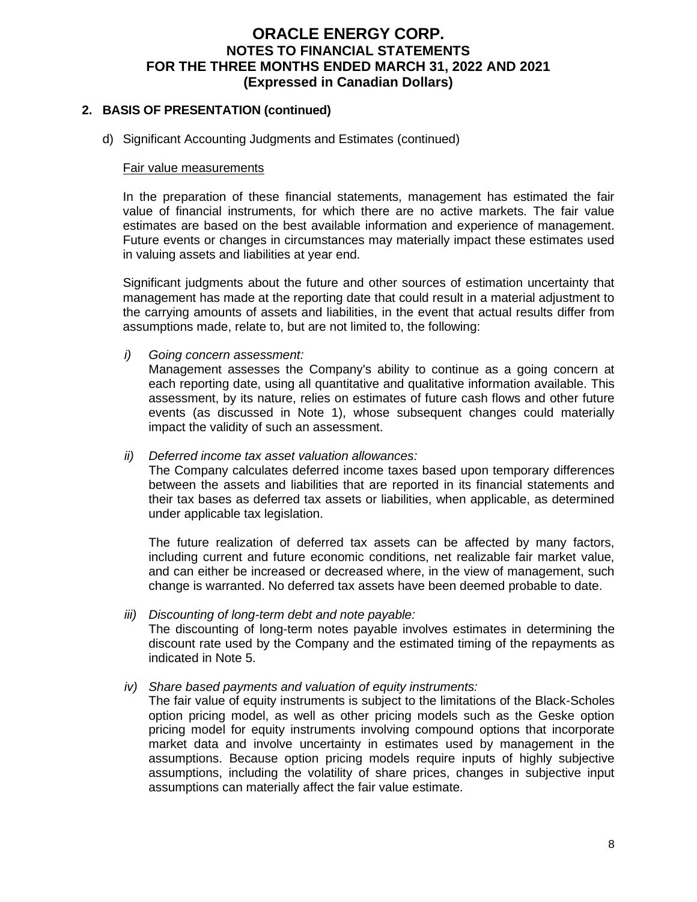### **2. BASIS OF PRESENTATION (continued)**

d) Significant Accounting Judgments and Estimates (continued)

#### Fair value measurements

In the preparation of these financial statements, management has estimated the fair value of financial instruments, for which there are no active markets. The fair value estimates are based on the best available information and experience of management. Future events or changes in circumstances may materially impact these estimates used in valuing assets and liabilities at year end.

Significant judgments about the future and other sources of estimation uncertainty that management has made at the reporting date that could result in a material adjustment to the carrying amounts of assets and liabilities, in the event that actual results differ from assumptions made, relate to, but are not limited to, the following:

*i) Going concern assessment:*

Management assesses the Company's ability to continue as a going concern at each reporting date, using all quantitative and qualitative information available. This assessment, by its nature, relies on estimates of future cash flows and other future events (as discussed in Note 1), whose subsequent changes could materially impact the validity of such an assessment.

#### *ii) Deferred income tax asset valuation allowances:*

The Company calculates deferred income taxes based upon temporary differences between the assets and liabilities that are reported in its financial statements and their tax bases as deferred tax assets or liabilities, when applicable, as determined under applicable tax legislation.

The future realization of deferred tax assets can be affected by many factors, including current and future economic conditions, net realizable fair market value, and can either be increased or decreased where, in the view of management, such change is warranted. No deferred tax assets have been deemed probable to date.

*iii) Discounting of long-term debt and note payable:* The discounting of long-term notes payable involves estimates in determining the discount rate used by the Company and the estimated timing of the repayments as indicated in Note 5.

#### *iv) Share based payments and valuation of equity instruments:*

The fair value of equity instruments is subject to the limitations of the Black-Scholes option pricing model, as well as other pricing models such as the Geske option pricing model for equity instruments involving compound options that incorporate market data and involve uncertainty in estimates used by management in the assumptions. Because option pricing models require inputs of highly subjective assumptions, including the volatility of share prices, changes in subjective input assumptions can materially affect the fair value estimate.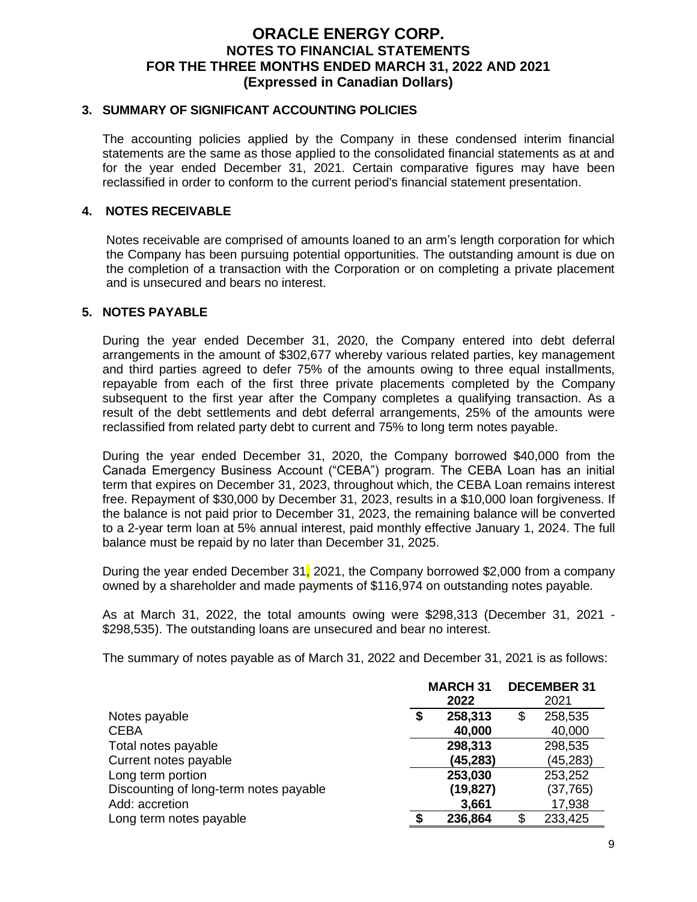#### **3. SUMMARY OF SIGNIFICANT ACCOUNTING POLICIES**

The accounting policies applied by the Company in these condensed interim financial statements are the same as those applied to the consolidated financial statements as at and for the year ended December 31, 2021. Certain comparative figures may have been reclassified in order to conform to the current period's financial statement presentation.

#### **4. NOTES RECEIVABLE**

Notes receivable are comprised of amounts loaned to an arm's length corporation for which the Company has been pursuing potential opportunities. The outstanding amount is due on the completion of a transaction with the Corporation or on completing a private placement and is unsecured and bears no interest.

#### **5. NOTES PAYABLE**

During the year ended December 31, 2020, the Company entered into debt deferral arrangements in the amount of \$302,677 whereby various related parties, key management and third parties agreed to defer 75% of the amounts owing to three equal installments, repayable from each of the first three private placements completed by the Company subsequent to the first year after the Company completes a qualifying transaction. As a result of the debt settlements and debt deferral arrangements, 25% of the amounts were reclassified from related party debt to current and 75% to long term notes payable.

During the year ended December 31, 2020, the Company borrowed \$40,000 from the Canada Emergency Business Account ("CEBA") program. The CEBA Loan has an initial term that expires on December 31, 2023, throughout which, the CEBA Loan remains interest free. Repayment of \$30,000 by December 31, 2023, results in a \$10,000 loan forgiveness. If the balance is not paid prior to December 31, 2023, the remaining balance will be converted to a 2-year term loan at 5% annual interest, paid monthly effective January 1, 2024. The full balance must be repaid by no later than December 31, 2025.

During the year ended December 31, 2021, the Company borrowed \$2,000 from a company owned by a shareholder and made payments of \$116,974 on outstanding notes payable.

As at March 31, 2022, the total amounts owing were \$298,313 (December 31, 2021 - \$298,535). The outstanding loans are unsecured and bear no interest.

The summary of notes payable as of March 31, 2022 and December 31, 2021 is as follows:

|                                        | <b>DECEMBER 31</b><br><b>MARCH 31</b> |         |           |         |
|----------------------------------------|---------------------------------------|---------|-----------|---------|
|                                        |                                       | 2022    |           | 2021    |
| Notes payable                          | \$                                    | 258,313 | \$        | 258,535 |
| <b>CEBA</b>                            |                                       | 40,000  |           | 40,000  |
| Total notes payable                    | 298,313                               |         | 298,535   |         |
| Current notes payable                  | (45, 283)                             |         | (45, 283) |         |
| Long term portion                      |                                       | 253,030 |           | 253,252 |
| Discounting of long-term notes payable | (19, 827)                             |         | (37, 765) |         |
| Add: accretion                         |                                       | 3,661   |           | 17,938  |
| Long term notes payable                |                                       | 236,864 | S         | 233,425 |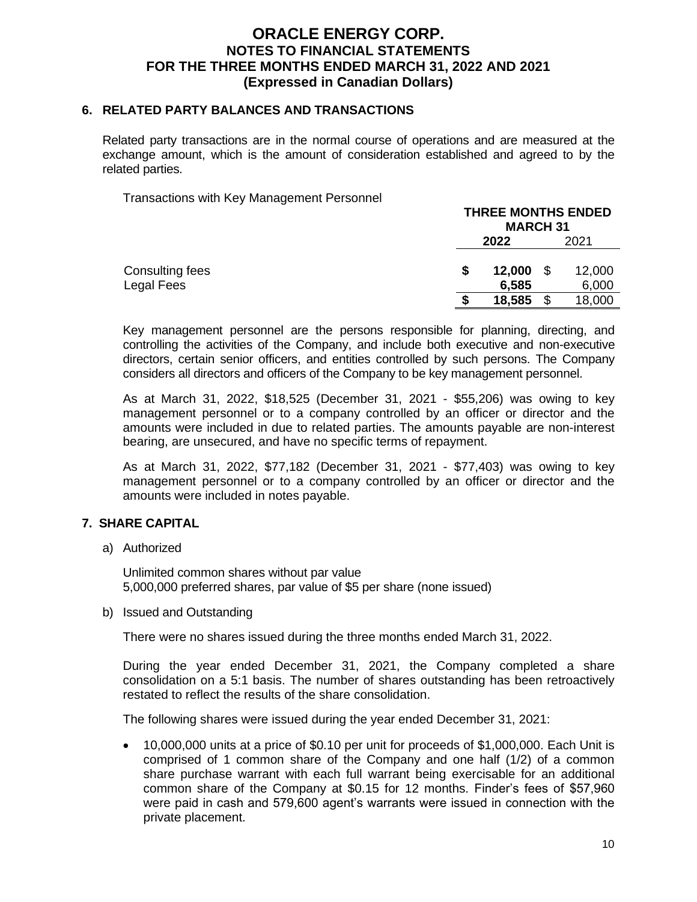#### **6. RELATED PARTY BALANCES AND TRANSACTIONS**

Related party transactions are in the normal course of operations and are measured at the exchange amount, which is the amount of consideration established and agreed to by the related parties.

Transactions with Key Management Personnel

|                               | <b>THREE MONTHS ENDED</b><br><b>MARCH 31</b> |     |                 |
|-------------------------------|----------------------------------------------|-----|-----------------|
|                               | 2022<br>2021                                 |     |                 |
| Consulting fees<br>Legal Fees | 12,000<br>6,585                              | -\$ | 12,000<br>6,000 |
|                               | 18,585                                       | \$  | 18,000          |
|                               |                                              |     |                 |

**THREE MONTHS ENDED**

Key management personnel are the persons responsible for planning, directing, and controlling the activities of the Company, and include both executive and non-executive directors, certain senior officers, and entities controlled by such persons. The Company considers all directors and officers of the Company to be key management personnel.

As at March 31, 2022, \$18,525 (December 31, 2021 - \$55,206) was owing to key management personnel or to a company controlled by an officer or director and the amounts were included in due to related parties. The amounts payable are non-interest bearing, are unsecured, and have no specific terms of repayment.

As at March 31, 2022, \$77,182 (December 31, 2021 - \$77,403) was owing to key management personnel or to a company controlled by an officer or director and the amounts were included in notes payable.

#### **7. SHARE CAPITAL**

a) Authorized

Unlimited common shares without par value 5,000,000 preferred shares, par value of \$5 per share (none issued)

b) Issued and Outstanding

There were no shares issued during the three months ended March 31, 2022.

During the year ended December 31, 2021, the Company completed a share consolidation on a 5:1 basis. The number of shares outstanding has been retroactively restated to reflect the results of the share consolidation.

The following shares were issued during the year ended December 31, 2021:

• 10,000,000 units at a price of \$0.10 per unit for proceeds of \$1,000,000. Each Unit is comprised of 1 common share of the Company and one half (1/2) of a common share purchase warrant with each full warrant being exercisable for an additional common share of the Company at \$0.15 for 12 months. Finder's fees of \$57,960 were paid in cash and 579,600 agent's warrants were issued in connection with the private placement.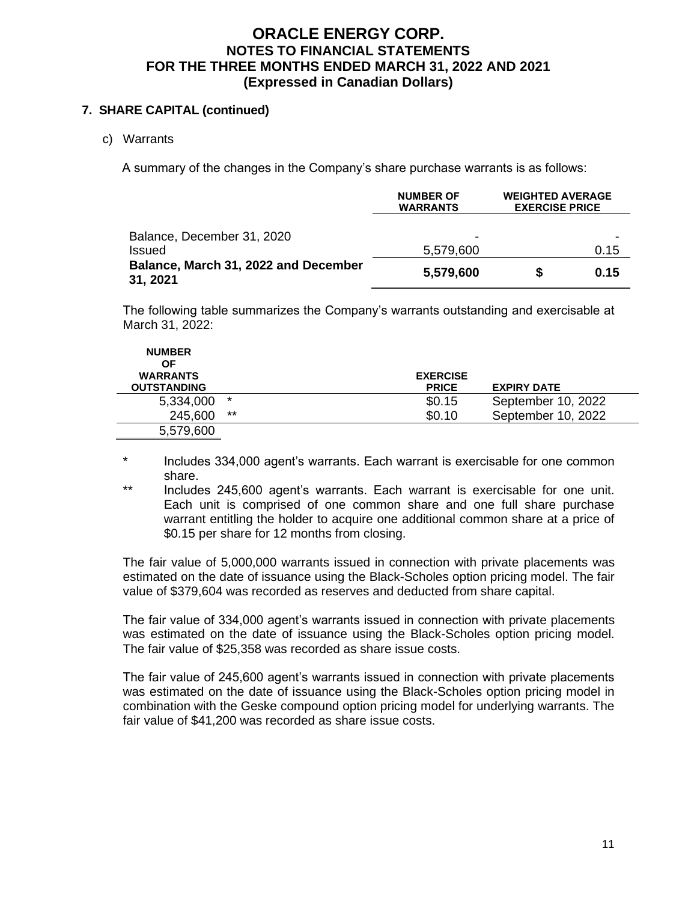### **7. SHARE CAPITAL (continued)**

c) Warrants

A summary of the changes in the Company's share purchase warrants is as follows:

|                                                  | <b>NUMBER OF</b><br><b>WARRANTS</b> | <b>WEIGHTED AVERAGE</b><br><b>EXERCISE PRICE</b> |      |  |
|--------------------------------------------------|-------------------------------------|--------------------------------------------------|------|--|
| Balance, December 31, 2020<br>Issued             | 5,579,600                           | 0.15                                             |      |  |
| Balance, March 31, 2022 and December<br>31, 2021 | 5,579,600                           |                                                  | 0.15 |  |

The following table summarizes the Company's warrants outstanding and exercisable at March 31, 2022:

| <b>NUMBER</b><br>ΟF<br><b>WARRANTS</b> |         | <b>EXERCISE</b> |                    |
|----------------------------------------|---------|-----------------|--------------------|
| <b>OUTSTANDING</b>                     |         | <b>PRICE</b>    | <b>EXPIRY DATE</b> |
| 5,334,000                              | $\star$ | \$0.15          | September 10, 2022 |
| 245,600                                | $***$   | \$0.10          | September 10, 2022 |
| 5,579,600                              |         |                 |                    |

\* Includes 334,000 agent's warrants. Each warrant is exercisable for one common share.

\*\* Includes 245,600 agent's warrants. Each warrant is exercisable for one unit. Each unit is comprised of one common share and one full share purchase warrant entitling the holder to acquire one additional common share at a price of \$0.15 per share for 12 months from closing.

The fair value of 5,000,000 warrants issued in connection with private placements was estimated on the date of issuance using the Black-Scholes option pricing model. The fair value of \$379,604 was recorded as reserves and deducted from share capital.

The fair value of 334,000 agent's warrants issued in connection with private placements was estimated on the date of issuance using the Black-Scholes option pricing model. The fair value of \$25,358 was recorded as share issue costs.

The fair value of 245,600 agent's warrants issued in connection with private placements was estimated on the date of issuance using the Black-Scholes option pricing model in combination with the Geske compound option pricing model for underlying warrants. The fair value of \$41,200 was recorded as share issue costs.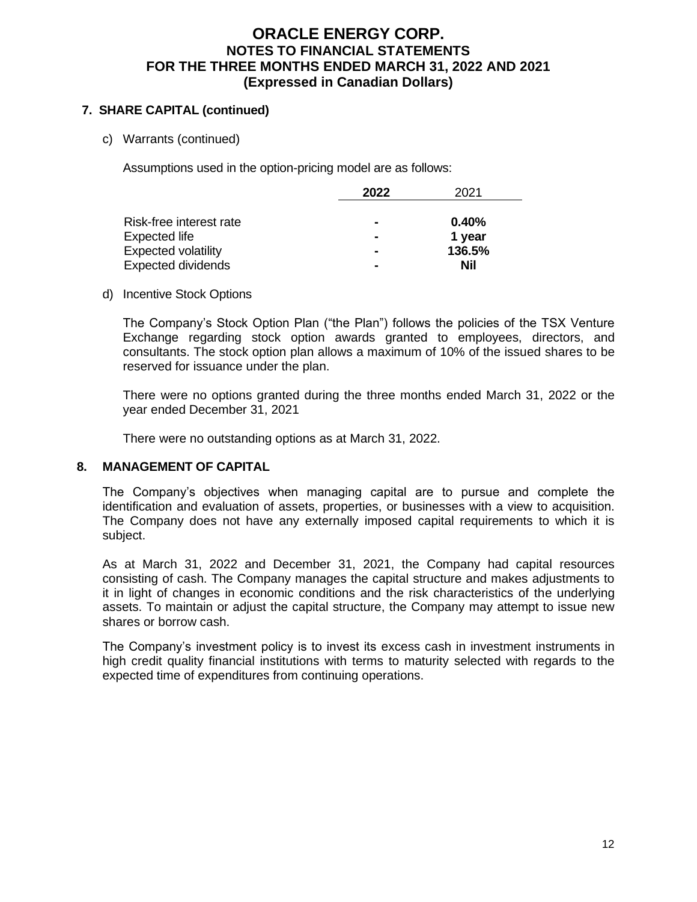### **7. SHARE CAPITAL (continued)**

c) Warrants (continued)

Assumptions used in the option-pricing model are as follows:

|                            | 2022           | 2021   |
|----------------------------|----------------|--------|
|                            |                |        |
| Risk-free interest rate    | $\blacksquare$ | 0.40%  |
| Expected life              | $\blacksquare$ | 1 year |
| <b>Expected volatility</b> | $\blacksquare$ | 136.5% |
| <b>Expected dividends</b>  | $\blacksquare$ | Nil    |

#### d) Incentive Stock Options

The Company's Stock Option Plan ("the Plan") follows the policies of the TSX Venture Exchange regarding stock option awards granted to employees, directors, and consultants. The stock option plan allows a maximum of 10% of the issued shares to be reserved for issuance under the plan.

There were no options granted during the three months ended March 31, 2022 or the year ended December 31, 2021

There were no outstanding options as at March 31, 2022.

#### **8. MANAGEMENT OF CAPITAL**

The Company's objectives when managing capital are to pursue and complete the identification and evaluation of assets, properties, or businesses with a view to acquisition. The Company does not have any externally imposed capital requirements to which it is subject.

As at March 31, 2022 and December 31, 2021, the Company had capital resources consisting of cash. The Company manages the capital structure and makes adjustments to it in light of changes in economic conditions and the risk characteristics of the underlying assets. To maintain or adjust the capital structure, the Company may attempt to issue new shares or borrow cash.

The Company's investment policy is to invest its excess cash in investment instruments in high credit quality financial institutions with terms to maturity selected with regards to the expected time of expenditures from continuing operations.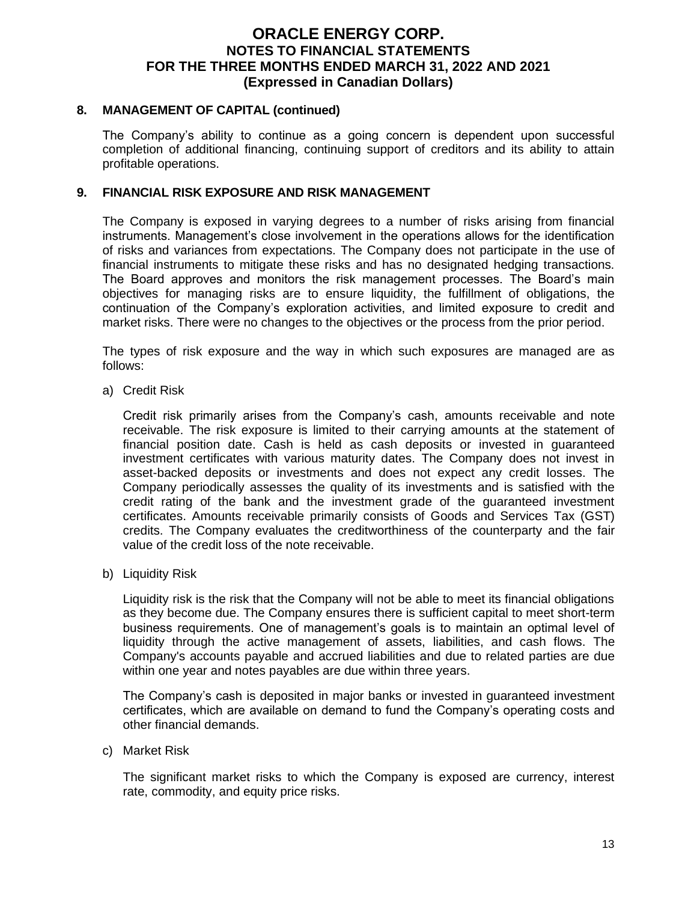#### **8. MANAGEMENT OF CAPITAL (continued)**

The Company's ability to continue as a going concern is dependent upon successful completion of additional financing, continuing support of creditors and its ability to attain profitable operations.

#### **9. FINANCIAL RISK EXPOSURE AND RISK MANAGEMENT**

The Company is exposed in varying degrees to a number of risks arising from financial instruments. Management's close involvement in the operations allows for the identification of risks and variances from expectations. The Company does not participate in the use of financial instruments to mitigate these risks and has no designated hedging transactions. The Board approves and monitors the risk management processes. The Board's main objectives for managing risks are to ensure liquidity, the fulfillment of obligations, the continuation of the Company's exploration activities, and limited exposure to credit and market risks. There were no changes to the objectives or the process from the prior period.

The types of risk exposure and the way in which such exposures are managed are as follows:

a) Credit Risk

Credit risk primarily arises from the Company's cash, amounts receivable and note receivable. The risk exposure is limited to their carrying amounts at the statement of financial position date. Cash is held as cash deposits or invested in guaranteed investment certificates with various maturity dates. The Company does not invest in asset-backed deposits or investments and does not expect any credit losses. The Company periodically assesses the quality of its investments and is satisfied with the credit rating of the bank and the investment grade of the guaranteed investment certificates. Amounts receivable primarily consists of Goods and Services Tax (GST) credits. The Company evaluates the creditworthiness of the counterparty and the fair value of the credit loss of the note receivable.

b) Liquidity Risk

Liquidity risk is the risk that the Company will not be able to meet its financial obligations as they become due. The Company ensures there is sufficient capital to meet short-term business requirements. One of management's goals is to maintain an optimal level of liquidity through the active management of assets, liabilities, and cash flows. The Company's accounts payable and accrued liabilities and due to related parties are due within one year and notes payables are due within three years.

The Company's cash is deposited in major banks or invested in guaranteed investment certificates, which are available on demand to fund the Company's operating costs and other financial demands.

c) Market Risk

The significant market risks to which the Company is exposed are currency, interest rate, commodity, and equity price risks.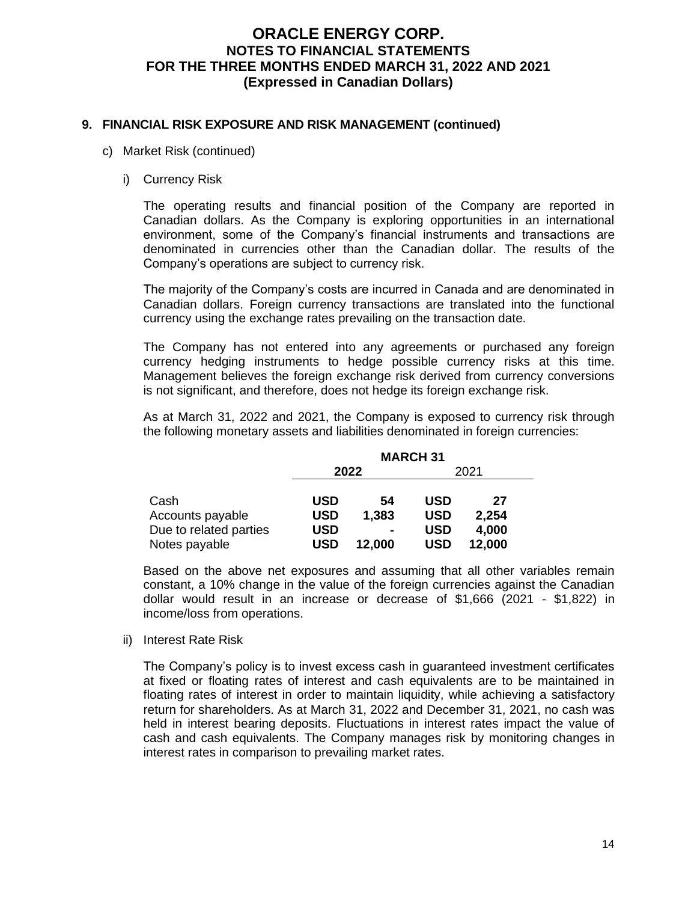#### **9. FINANCIAL RISK EXPOSURE AND RISK MANAGEMENT (continued)**

- c) Market Risk (continued)
	- i) Currency Risk

The operating results and financial position of the Company are reported in Canadian dollars. As the Company is exploring opportunities in an international environment, some of the Company's financial instruments and transactions are denominated in currencies other than the Canadian dollar. The results of the Company's operations are subject to currency risk.

The majority of the Company's costs are incurred in Canada and are denominated in Canadian dollars. Foreign currency transactions are translated into the functional currency using the exchange rates prevailing on the transaction date.

The Company has not entered into any agreements or purchased any foreign currency hedging instruments to hedge possible currency risks at this time. Management believes the foreign exchange risk derived from currency conversions is not significant, and therefore, does not hedge its foreign exchange risk.

As at March 31, 2022 and 2021, the Company is exposed to currency risk through the following monetary assets and liabilities denominated in foreign currencies:

|                        | <b>MARCH 31</b> |                |            |        |  |  |  |
|------------------------|-----------------|----------------|------------|--------|--|--|--|
|                        |                 | 2022           |            | 2021   |  |  |  |
| Cash                   | <b>USD</b>      | 54             | <b>USD</b> | 27     |  |  |  |
| Accounts payable       | <b>USD</b>      | 1,383          | <b>USD</b> | 2,254  |  |  |  |
| Due to related parties | <b>USD</b>      | $\blacksquare$ | USD        | 4,000  |  |  |  |
| Notes payable          | USD             | 12,000         | <b>USD</b> | 12,000 |  |  |  |

Based on the above net exposures and assuming that all other variables remain constant, a 10% change in the value of the foreign currencies against the Canadian dollar would result in an increase or decrease of \$1,666 (2021 - \$1,822) in income/loss from operations.

ii) Interest Rate Risk

The Company's policy is to invest excess cash in guaranteed investment certificates at fixed or floating rates of interest and cash equivalents are to be maintained in floating rates of interest in order to maintain liquidity, while achieving a satisfactory return for shareholders. As at March 31, 2022 and December 31, 2021, no cash was held in interest bearing deposits. Fluctuations in interest rates impact the value of cash and cash equivalents. The Company manages risk by monitoring changes in interest rates in comparison to prevailing market rates.